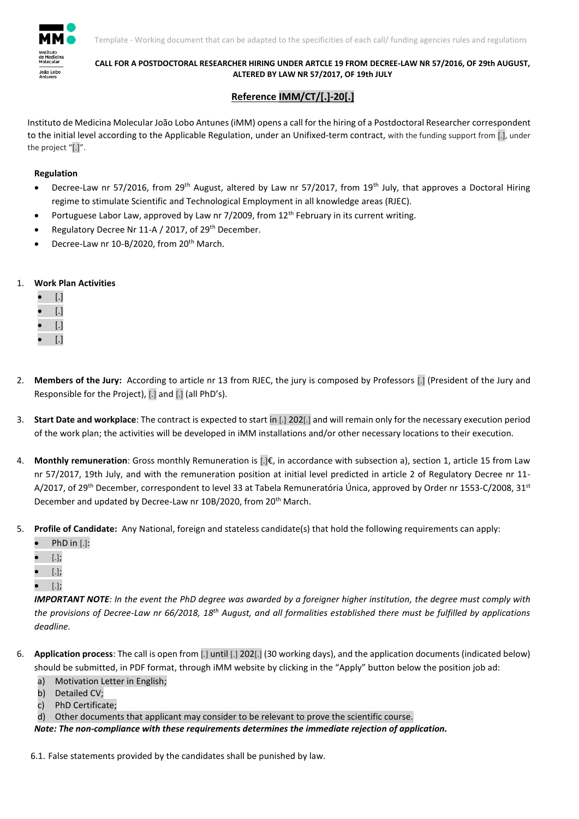

## **CALL FOR A POSTDOCTORAL RESEARCHER HIRING UNDER ARTCLE 19 FROM DECREE-LAW NR 57/2016, OF 29th AUGUST, ALTERED BY LAW NR 57/2017, OF 19th JULY**

## **Reference IMM/CT/[.]-20[.]**

Instituto de Medicina Molecular João Lobo Antunes (iMM) opens a call for the hiring of a Postdoctoral Researcher correspondent to the initial level according to the Applicable Regulation, under an Unifixed-term contract, with the funding support from [.], under the project "[.]".

## **Regulation**

- **•** Decree-Law nr 57/2016, from 29<sup>th</sup> August, altered by Law nr 57/2017, from 19<sup>th</sup> July, that approves a Doctoral Hiring regime to stimulate Scientific and Technological Employment in all knowledge areas (RJEC).
- Portuguese Labor Law, approved by Law nr 7/2009, from 12<sup>th</sup> February in its current writing.
- Regulatory Decree Nr 11-A / 2017, of 29th December.
- Decree-Law nr 10-B/2020, from 20<sup>th</sup> March.

## 1. **Work Plan Activities**

| [.] |
|-----|
| IJ  |
| [.] |
| ſ.1 |

- 2. **Members of the Jury:** According to article nr 13 from RJEC, the jury is composed by Professors [.] (President of the Jury and Responsible for the Project), [.] and [.] (all PhD's).
- 3. **Start Date and workplace**: The contract is expected to start in [.] 202[.] and will remain only for the necessary execution period of the work plan; the activities will be developed in iMM installations and/or other necessary locations to their execution.
- 4. **Monthly remuneration**: Gross monthly Remuneration is [.]€, in accordance with subsection a), section 1, article 15 from Law nr 57/2017, 19th July, and with the remuneration position at initial level predicted in article 2 of Regulatory Decree nr 11- A/2017, of 29<sup>th</sup> December, correspondent to level 33 at Tabela Remuneratória Única, approved by Order nr 1553-C/2008, 31<sup>st</sup> December and updated by Decree-Law nr 10B/2020, from 20<sup>th</sup> March.
- 5. **Profile of Candidate:** Any National, foreign and stateless candidate(s) that hold the following requirements can apply:
	- PhD in [.]:
	- [.];
	- [.];
	- [.];

*IMPORTANT NOTE: In the event the PhD degree was awarded by a foreigner higher institution, the degree must comply with*  the provisions of Decree-Law nr 66/2018, 18<sup>th</sup> August, and all formalities established there must be fulfilled by applications *deadline.*

- 6. **Application process**: The call is open from [.] until [.] 202[.] (30 working days), and the application documents (indicated below) should be submitted, in PDF format, through iMM website by clicking in the "Apply" button below the position job ad:
	- a) Motivation Letter in English;
	- b) Detailed CV;
	- c) PhD Certificate;
	- d) Other documents that applicant may consider to be relevant to prove the scientific course.

*Note: The non-compliance with these requirements determines the immediate rejection of application.* 

6.1. False statements provided by the candidates shall be punished by law.